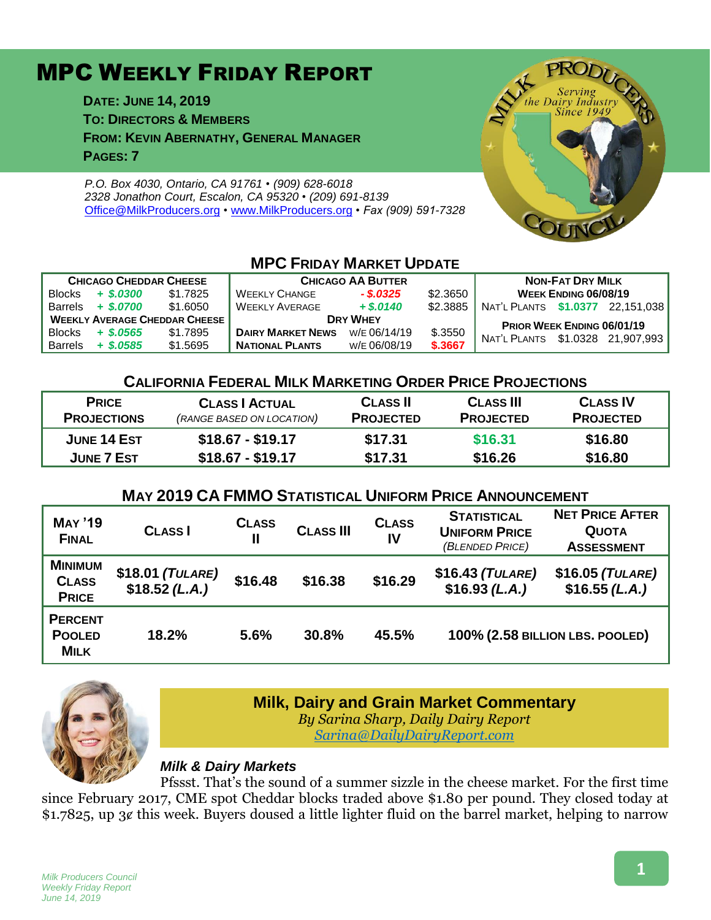# MPC WEEKLY FRIDAY REPORT

**DATE: JUNE 14, 2019 TO: DIRECTORS & MEMBERS FROM: KEVIN ABERNATHY, GENERAL MANAGER PAGES: 7**

*P.O. Box 4030, Ontario, CA 91761 • (909) 628-6018 2328 Jonathon Court, Escalon, CA 95320 • (209) 691-8139* [Office@MilkProducers.org](mailto:office@milkproducers.org) *•* [www.MilkProducers.org](http://www.milkproducers.org/) *• Fax (909) 591-7328*



## **MPC FRIDAY MARKET UPDATE**

| <b>CHICAGO CHEDDAR CHEESE</b>        |             |          | <b>CHICAGO AA BUTTER</b> | <b>NON-FAT DRY MILK</b> |          |                                  |  |                     |
|--------------------------------------|-------------|----------|--------------------------|-------------------------|----------|----------------------------------|--|---------------------|
| <b>Blocks</b>                        | $+$ \$.0300 | \$1.7825 | <b>WEEKLY CHANGE</b>     | $-$ \$.0325             | \$2,3650 | <b>WEEK ENDING 06/08/19</b>      |  |                     |
| <b>Barrels</b>                       | $+$ \$.0700 | \$1.6050 | <b>WEEKLY AVERAGE</b>    | $+$ \$.0140             | \$2.3885 | NAT'L PLANTS \$1.0377 22.151.038 |  |                     |
| <b>WEEKLY AVERAGE CHEDDAR CHEESE</b> |             |          | <b>DRY WHEY</b>          |                         |          | PRIOR WEEK ENDING 06/01/19       |  |                     |
| <b>Blocks</b>                        | $+$ \$.0565 | \$1.7895 | <b>DAIRY MARKET NEWS</b> | W/E 06/14/19            | \$.3550  | NAT'L PLANTS                     |  | \$1.0328 21.907.993 |
| <b>Barrels</b>                       | $+$ \$.0585 | \$1.5695 | <b>NATIONAL PLANTS</b>   | W/E 06/08/19            | \$.3667  |                                  |  |                     |

### **CALIFORNIA FEDERAL MILK MARKETING ORDER PRICE PROJECTIONS**

| <b>PRICE</b>       | <b>CLASS   ACTUAL</b>     | <b>CLASS II</b>  | <b>CLASS III</b> | <b>CLASS IV</b>  |  |
|--------------------|---------------------------|------------------|------------------|------------------|--|
| <b>PROJECTIONS</b> | (RANGE BASED ON LOCATION) | <b>PROJECTED</b> | <b>PROJECTED</b> | <b>PROJECTED</b> |  |
| JUNE 14 EST        | $$18.67 - $19.17$         | \$17.31          | \$16.31          | \$16.80          |  |
| JUNE 7 EST         | $$18.67 - $19.17$         | \$17.31          | \$16.26          | \$16.80          |  |

### **MAY 2019 CA FMMO STATISTICAL UNIFORM PRICE ANNOUNCEMENT**

| <b>MAY '19</b><br><b>FINAL</b>                 | <b>CLASS</b>                         | <b>CLASS</b><br>Ш | <b>CLASS III</b> | <b>CLASS</b><br>IV | <b>STATISTICAL</b><br><b>UNIFORM PRICE</b><br>(BLENDED PRICE) | <b>NET PRICE AFTER</b><br><b>QUOTA</b><br><b>ASSESSMENT</b> |
|------------------------------------------------|--------------------------------------|-------------------|------------------|--------------------|---------------------------------------------------------------|-------------------------------------------------------------|
| <b>MINIMUM</b><br><b>CLASS</b><br><b>PRICE</b> | $$18.01$ (TULARE)<br>$$18.52$ (L.A.) | \$16.48           | \$16.38          | \$16.29            | $$16.43$ (TULARE)<br>\$16.93 (L.A.)                           | \$16.05 (TULARE)<br>\$16.55(L.A.)                           |
| <b>PERCENT</b><br><b>POOLED</b><br><b>MILK</b> | 18.2%                                | 5.6%              | 30.8%            | 45.5%              | 100% (2.58 BILLION LBS. POOLED)                               |                                                             |



### **Milk, Dairy and Grain Market Commentary**

*By Sarina Sharp, Daily Dairy Report [Sarina@DailyDairyReport.com](mailto:Sarina@DailyDairyReport.com)*

### *Milk & Dairy Markets*

Pfssst. That's the sound of a summer sizzle in the cheese market. For the first time since February 2017, CME spot Cheddar blocks traded above \$1.80 per pound. They closed today at \$1.7825, up 3¢ this week. Buyers doused a little lighter fluid on the barrel market, helping to narrow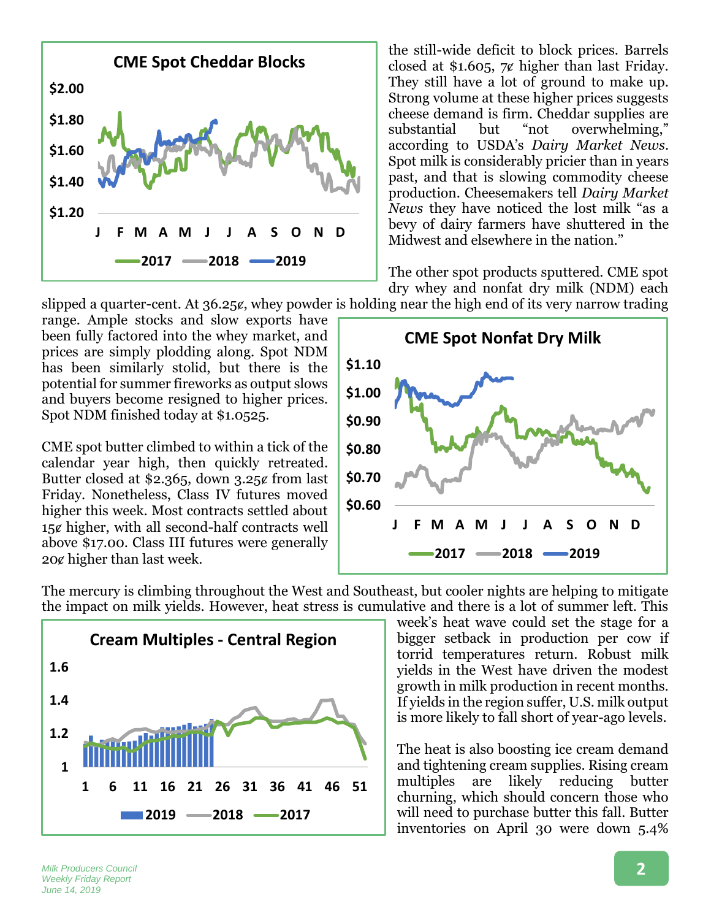

the still-wide deficit to block prices. Barrels closed at \$1.605,  $7¢$  higher than last Friday. They still have a lot of ground to make up. Strong volume at these higher prices suggests cheese demand is firm. Cheddar supplies are<br>substantial but "not overwhelming." substantial but "not overwhelming," according to USDA's *Dairy Market News*. Spot milk is considerably pricier than in years past, and that is slowing commodity cheese production. Cheesemakers tell *Dairy Market News* they have noticed the lost milk "as a bevy of dairy farmers have shuttered in the Midwest and elsewhere in the nation."

The other spot products sputtered. CME spot dry whey and nonfat dry milk (NDM) each

slipped a quarter-cent. At  $36.25\ell$ , whey powder is holding near the high end of its very narrow trading

range. Ample stocks and slow exports have been fully factored into the whey market, and prices are simply plodding along. Spot NDM has been similarly stolid, but there is the potential for summer fireworks as output slows and buyers become resigned to higher prices. Spot NDM finished today at \$1.0525.

CME spot butter climbed to within a tick of the calendar year high, then quickly retreated. Butter closed at \$2.365, down  $3.25$ ¢ from last Friday. Nonetheless, Class IV futures moved higher this week. Most contracts settled about 15ȼ higher, with all second-half contracts well above \$17.00. Class III futures were generally 20ȼ higher than last week.



The mercury is climbing throughout the West and Southeast, but cooler nights are helping to mitigate the impact on milk yields. However, heat stress is cumulative and there is a lot of summer left. This



week's heat wave could set the stage for a bigger setback in production per cow if torrid temperatures return. Robust milk yields in the West have driven the modest growth in milk production in recent months. If yields in the region suffer, U.S. milk output is more likely to fall short of year-ago levels.

The heat is also boosting ice cream demand and tightening cream supplies. Rising cream multiples are likely reducing butter churning, which should concern those who will need to purchase butter this fall. Butter inventories on April 30 were down 5.4%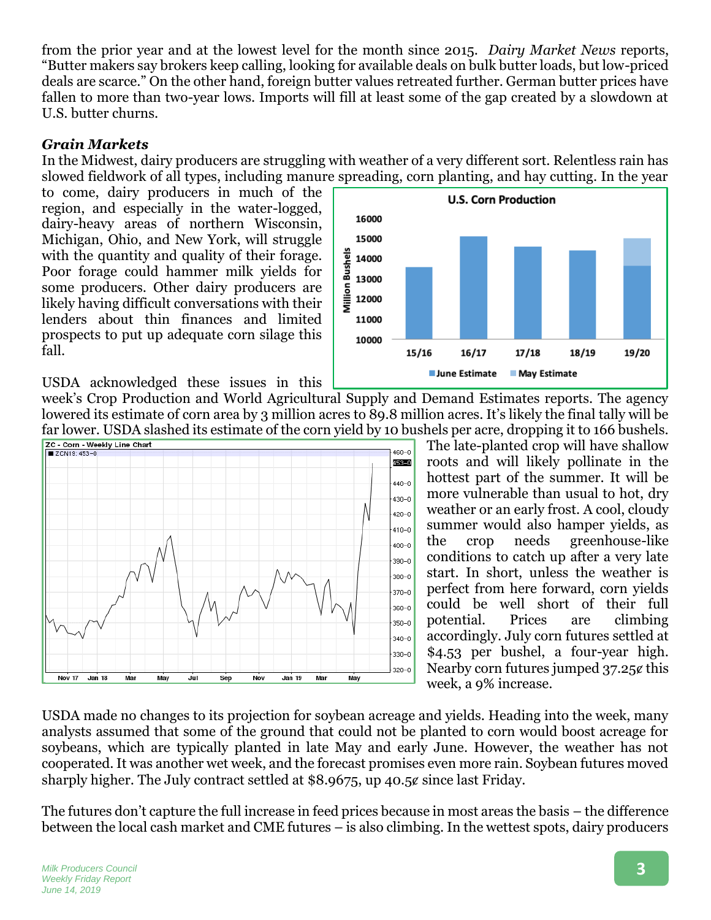from the prior year and at the lowest level for the month since 2015. *Dairy Market News* reports, "Butter makers say brokers keep calling, looking for available deals on bulk butter loads, but low-priced deals are scarce." On the other hand, foreign butter values retreated further. German butter prices have fallen to more than two-year lows. Imports will fill at least some of the gap created by a slowdown at U.S. butter churns.

### *Grain Markets*

In the Midwest, dairy producers are struggling with weather of a very different sort. Relentless rain has slowed fieldwork of all types, including manure spreading, corn planting, and hay cutting. In the year

to come, dairy producers in much of the region, and especially in the water-logged, dairy-heavy areas of northern Wisconsin, Michigan, Ohio, and New York, will struggle with the quantity and quality of their forage. Poor forage could hammer milk yields for some producers. Other dairy producers are likely having difficult conversations with their lenders about thin finances and limited prospects to put up adequate corn silage this fall.



USDA acknowledged these issues in this

week's Crop Production and World Agricultural Supply and Demand Estimates reports. The agency lowered its estimate of corn area by 3 million acres to 89.8 million acres. It's likely the final tally will be far lower. USDA slashed its estimate of the corn yield by 10 bushels per acre, dropping it to 166 bushels.



The late-planted crop will have shallow roots and will likely pollinate in the hottest part of the summer. It will be more vulnerable than usual to hot, dry weather or an early frost. A cool, cloudy summer would also hamper yields, as the crop needs greenhouse-like conditions to catch up after a very late start. In short, unless the weather is perfect from here forward, corn yields could be well short of their full potential. Prices are climbing accordingly. July corn futures settled at \$4.53 per bushel, a four-year high. Nearby corn futures jumped 37.25¢ this week, a 9% increase.

USDA made no changes to its projection for soybean acreage and yields. Heading into the week, many analysts assumed that some of the ground that could not be planted to corn would boost acreage for soybeans, which are typically planted in late May and early June. However, the weather has not cooperated. It was another wet week, and the forecast promises even more rain. Soybean futures moved sharply higher. The July contract settled at \$8.9675, up 40.5¢ since last Friday.

The futures don't capture the full increase in feed prices because in most areas the basis – the difference between the local cash market and CME futures – is also climbing. In the wettest spots, dairy producers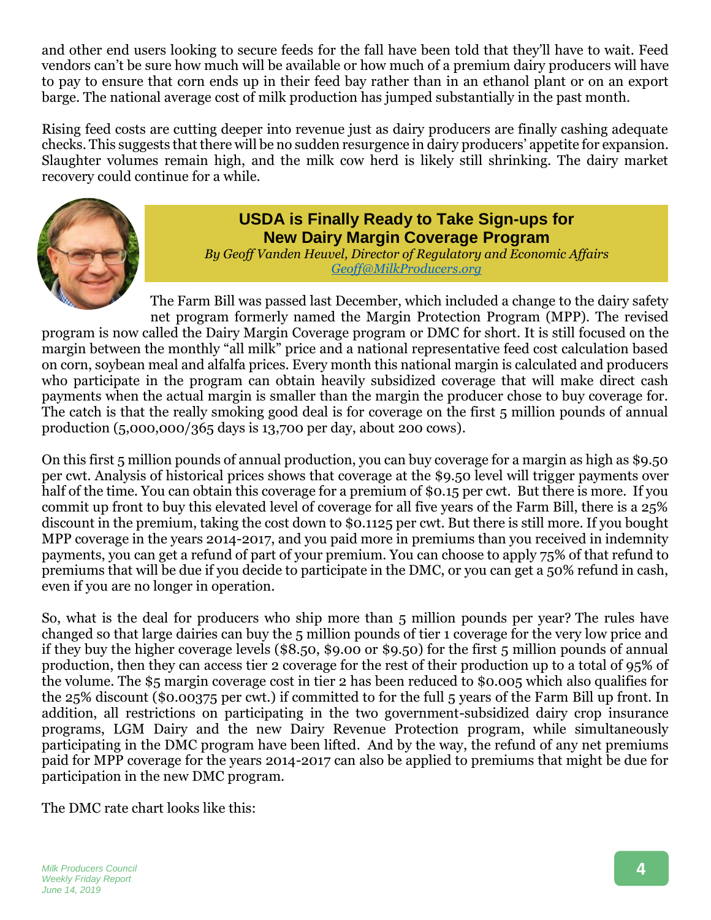and other end users looking to secure feeds for the fall have been told that they'll have to wait. Feed vendors can't be sure how much will be available or how much of a premium dairy producers will have to pay to ensure that corn ends up in their feed bay rather than in an ethanol plant or on an export barge. The national average cost of milk production has jumped substantially in the past month.

Rising feed costs are cutting deeper into revenue just as dairy producers are finally cashing adequate checks. This suggests that there will be no sudden resurgence in dairy producers' appetite for expansion. Slaughter volumes remain high, and the milk cow herd is likely still shrinking. The dairy market recovery could continue for a while.



### **USDA is Finally Ready to Take Sign-ups for New Dairy Margin Coverage Program**

*By Geoff Vanden Heuvel, Director of Regulatory and Economic Affairs [Geoff@MilkProducers.org](mailto:Geoff@MilkProducers.org)*

The Farm Bill was passed last December, which included a change to the dairy safety net program formerly named the Margin Protection Program (MPP). The revised program is now called the Dairy Margin Coverage program or DMC for short. It is still focused on the margin between the monthly "all milk" price and a national representative feed cost calculation based on corn, soybean meal and alfalfa prices. Every month this national margin is calculated and producers who participate in the program can obtain heavily subsidized coverage that will make direct cash payments when the actual margin is smaller than the margin the producer chose to buy coverage for. The catch is that the really smoking good deal is for coverage on the first 5 million pounds of annual production (5,000,000/365 days is 13,700 per day, about 200 cows).

On this first 5 million pounds of annual production, you can buy coverage for a margin as high as \$9.50 per cwt. Analysis of historical prices shows that coverage at the \$9.50 level will trigger payments over half of the time. You can obtain this coverage for a premium of \$0.15 per cwt. But there is more. If you commit up front to buy this elevated level of coverage for all five years of the Farm Bill, there is a 25% discount in the premium, taking the cost down to \$0.1125 per cwt. But there is still more. If you bought MPP coverage in the years 2014-2017, and you paid more in premiums than you received in indemnity payments, you can get a refund of part of your premium. You can choose to apply 75% of that refund to premiums that will be due if you decide to participate in the DMC, or you can get a 50% refund in cash, even if you are no longer in operation.

So, what is the deal for producers who ship more than 5 million pounds per year? The rules have changed so that large dairies can buy the 5 million pounds of tier 1 coverage for the very low price and if they buy the higher coverage levels (\$8.50, \$9.00 or \$9.50) for the first 5 million pounds of annual production, then they can access tier 2 coverage for the rest of their production up to a total of 95% of the volume. The \$5 margin coverage cost in tier 2 has been reduced to \$0.005 which also qualifies for the 25% discount (\$0.00375 per cwt.) if committed to for the full 5 years of the Farm Bill up front. In addition, all restrictions on participating in the two government-subsidized dairy crop insurance programs, LGM Dairy and the new Dairy Revenue Protection program, while simultaneously participating in the DMC program have been lifted. And by the way, the refund of any net premiums paid for MPP coverage for the years 2014-2017 can also be applied to premiums that might be due for participation in the new DMC program.

The DMC rate chart looks like this: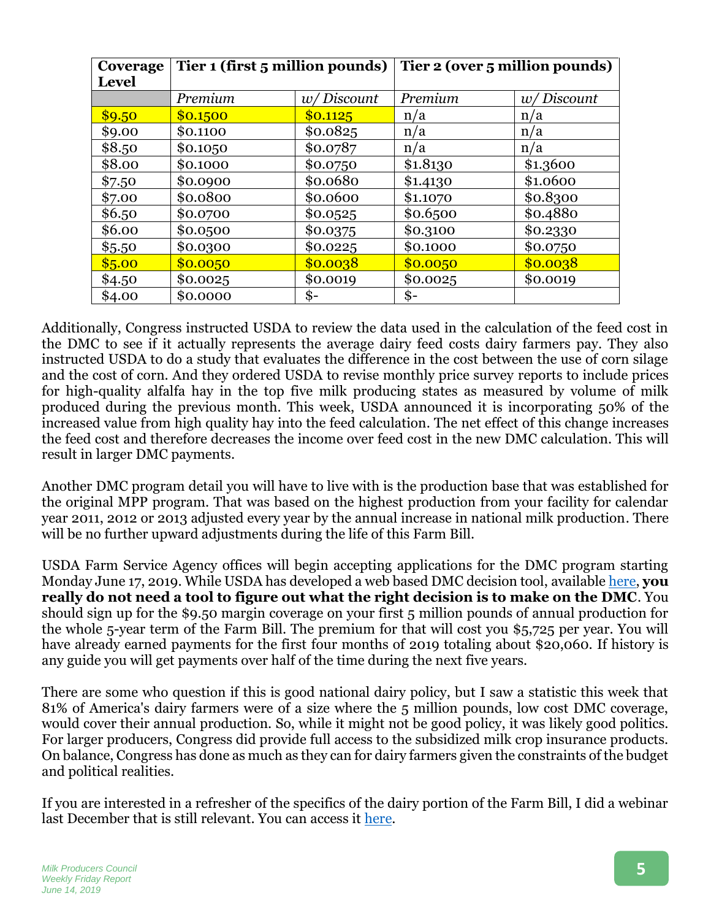| Coverage<br><b>Level</b> | Tier 1 (first 5 million pounds) |                 | Tier 2 (over 5 million pounds) |            |  |
|--------------------------|---------------------------------|-----------------|--------------------------------|------------|--|
|                          | Premium                         | w/Discount      | Premium                        | w/Discount |  |
| \$9.50                   | \$0.1500                        | \$0.1125        | n/a                            | n/a        |  |
| \$9.00                   | \$0.1100                        | \$0.0825        | n/a                            | n/a        |  |
| \$8.50                   | \$0.1050                        | \$0.0787        | n/a                            | n/a        |  |
| \$8.00                   | \$0.1000                        | \$0.0750        | \$1.8130                       | \$1.3600   |  |
| \$7.50                   | \$0.0900                        | \$0.0680        | \$1.4130                       | \$1.0600   |  |
| \$7.00                   | \$0.0800                        | \$0.0600        | \$1.1070                       | \$0.8300   |  |
| \$6.50                   | \$0.0700                        | \$0.0525        | \$0.6500                       | \$0.4880   |  |
| \$6.00                   | \$0.0500                        | \$0.0375        | \$0.3100                       | \$0.2330   |  |
| \$5.50                   | \$0.0300                        | \$0.0225        | \$0.1000                       | \$0.0750   |  |
| \$5.00                   | \$0.0050                        | \$0.0038        | \$0.0050                       | \$0.0038   |  |
| \$4.50                   | \$0.0025                        | \$0.0019        | \$0.0025                       | \$0.0019   |  |
| \$4.00                   | \$0.0000                        | $\mathbf{\$}$ - | \$-                            |            |  |

Additionally, Congress instructed USDA to review the data used in the calculation of the feed cost in the DMC to see if it actually represents the average dairy feed costs dairy farmers pay. They also instructed USDA to do a study that evaluates the difference in the cost between the use of corn silage and the cost of corn. And they ordered USDA to revise monthly price survey reports to include prices for high-quality alfalfa hay in the top five milk producing states as measured by volume of milk produced during the previous month. This week, USDA announced it is incorporating 50% of the increased value from high quality hay into the feed calculation. The net effect of this change increases the feed cost and therefore decreases the income over feed cost in the new DMC calculation. This will result in larger DMC payments.

Another DMC program detail you will have to live with is the production base that was established for the original MPP program. That was based on the highest production from your facility for calendar year 2011, 2012 or 2013 adjusted every year by the annual increase in national milk production. There will be no further upward adjustments during the life of this Farm Bill.

USDA Farm Service Agency offices will begin accepting applications for the DMC program starting Monday June 17, 2019. While USDA has developed a web based DMC decision tool, available [here,](https://www.fsa.usda.gov/programs-and-services/farm-bill/farm-safety-net/dairy-programs/dmc-decision-tool/index) **you really do not need a tool to figure out what the right decision is to make on the DMC**. You should sign up for the \$9.50 margin coverage on your first 5 million pounds of annual production for the whole 5-year term of the Farm Bill. The premium for that will cost you \$5,725 per year. You will have already earned payments for the first four months of 2019 totaling about \$20,060. If history is any guide you will get payments over half of the time during the next five years.

There are some who question if this is good national dairy policy, but I saw a statistic this week that 81% of America's dairy farmers were of a size where the 5 million pounds, low cost DMC coverage, would cover their annual production. So, while it might not be good policy, it was likely good politics. For larger producers, Congress did provide full access to the subsidized milk crop insurance products. On balance, Congress has done as much as they can for dairy farmers given the constraints of the budget and political realities.

If you are interested in a refresher of the specifics of the dairy portion of the Farm Bill, I did a webinar last December that is still relevant. You can access it [here.](http://www.milkproducerscouncil.org/wp-content/uploads/MPC-Farm-Bill-Webinar-201812202004.mp4)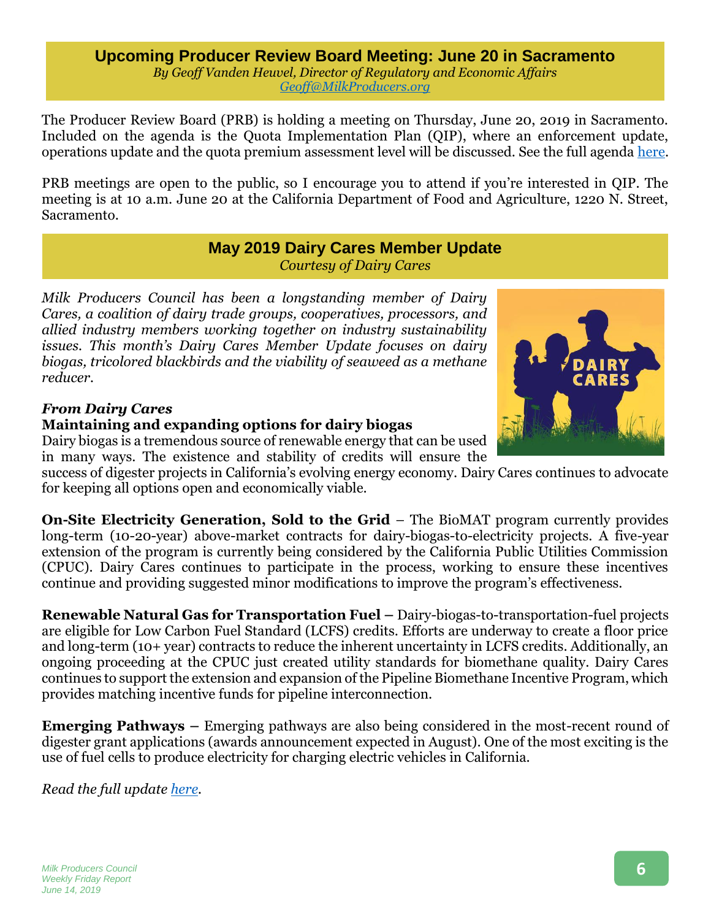**Upcoming Producer Review Board Meeting: June 20 in Sacramento** *By Geoff Vanden Heuvel, Director of Regulatory and Economic Affairs [Geoff@MilkProducers.org](mailto:Geoff@MilkProducers.org)*

The Producer Review Board (PRB) is holding a meeting on Thursday, June 20, 2019 in Sacramento. Included on the agenda is the Quota Implementation Plan (QIP), where an enforcement update, operations update and the quota premium assessment level will be discussed. See the full agenda [here.](https://www.cdfa.ca.gov/dairy/pdf/PRB/MeetingAgenda_06202019.pdf)

PRB meetings are open to the public, so I encourage you to attend if you're interested in QIP. The meeting is at 10 a.m. June 20 at the California Department of Food and Agriculture, 1220 N. Street, Sacramento.

> **May 2019 Dairy Cares Member Update** *Courtesy of Dairy Cares*

*Milk Producers Council has been a longstanding member of Dairy Cares, a coalition of dairy trade groups, cooperatives, processors, and allied industry members working together on industry sustainability issues. This month's Dairy Cares Member Update focuses on dairy biogas, tricolored blackbirds and the viability of seaweed as a methane reducer.* 

### *From Dairy Cares*

### **Maintaining and expanding options for dairy biogas**

Dairy biogas is a tremendous source of renewable energy that can be used in many ways. The existence and stability of credits will ensure the

success of digester projects in California's evolving energy economy. Dairy Cares continues to advocate for keeping all options open and economically viable.

**On-Site Electricity Generation, Sold to the Grid** – The BioMAT program currently provides long-term (10-20-year) above-market contracts for dairy-biogas-to-electricity projects. A five-year extension of the program is currently being considered by the California Public Utilities Commission (CPUC). Dairy Cares continues to participate in the process, working to ensure these incentives continue and providing suggested minor modifications to improve the program's effectiveness.

**Renewable Natural Gas for Transportation Fuel –** Dairy-biogas-to-transportation-fuel projects are eligible for Low Carbon Fuel Standard (LCFS) credits. Efforts are underway to create a floor price and long-term (10+ year) contracts to reduce the inherent uncertainty in LCFS credits. Additionally, an ongoing proceeding at the CPUC just created utility standards for biomethane quality. Dairy Cares continues to support the extension and expansion of the Pipeline Biomethane Incentive Program, which provides matching incentive funds for pipeline interconnection.

**Emerging Pathways –** Emerging pathways are also being considered in the most-recent round of digester grant applications (awards announcement expected in August). One of the most exciting is the use of fuel cells to produce electricity for charging electric vehicles in California.

*Read the full update [here.](http://www.milkproducerscouncil.org/wp-content/uploads/DairyCaresMemberUpdate_May2019.pdf)*